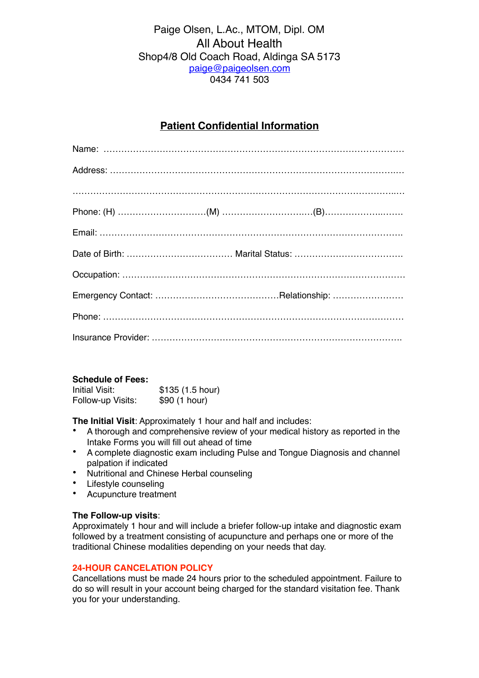### Paige Olsen, L.Ac., MTOM, Dipl. OM All About Health Shop4/8 Old Coach Road, Aldinga SA 5173 [paige@paigeolsen.com](mailto:paige@paigeolsen.com) 0434 741 503

### **Patient Confidential Information**

#### **Schedule of Fees:**

| Initial Visit:    | \$135(1.5 hour) |
|-------------------|-----------------|
| Follow-up Visits: | \$90 (1 hour)   |

**The Initial Visit**: Approximately 1 hour and half and includes:

- A thorough and comprehensive review of your medical history as reported in the Intake Forms you will fill out ahead of time
- A complete diagnostic exam including Pulse and Tongue Diagnosis and channel palpation if indicated
- Nutritional and Chinese Herbal counseling
- Lifestyle counseling
- Acupuncture treatment

#### **The Follow-up visits**:

Approximately 1 hour and will include a briefer follow-up intake and diagnostic exam followed by a treatment consisting of acupuncture and perhaps one or more of the traditional Chinese modalities depending on your needs that day.

#### **24-HOUR CANCELATION POLICY**

Cancellations must be made 24 hours prior to the scheduled appointment. Failure to do so will result in your account being charged for the standard visitation fee. Thank you for your understanding.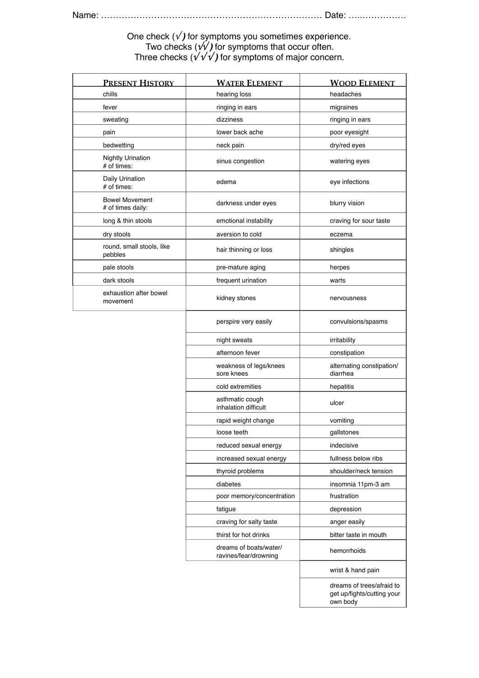#### One check (√ *)* for symptoms you sometimes experience. Two checks (**√√** *)* for symptoms that occur often. Three checks (**√ √ √** *)* for symptoms of major concern.

| <b>PRESENT HISTORY</b>                     | <b>WATER ELEMENT</b>                            | <b>WOOD ELEMENT</b>                                                 |
|--------------------------------------------|-------------------------------------------------|---------------------------------------------------------------------|
| chills                                     | hearing loss                                    | headaches                                                           |
| fever                                      | ringing in ears                                 | migraines                                                           |
| sweating                                   | dizziness                                       | ringing in ears                                                     |
| pain                                       | lower back ache                                 | poor eyesight                                                       |
| bedwetting                                 | neck pain                                       | dry/red eyes                                                        |
| <b>Nightly Urination</b><br># of times:    | sinus congestion                                | watering eyes                                                       |
| Daily Urination<br># of times:             | edema                                           | eye infections                                                      |
| <b>Bowel Movement</b><br># of times daily: | darkness under eyes                             | blurry vision                                                       |
| long & thin stools                         | emotional instability                           | craving for sour taste                                              |
| dry stools                                 | aversion to cold                                | eczema                                                              |
| round, small stools, like<br>pebbles       | hair thinning or loss                           | shingles                                                            |
| pale stools                                | pre-mature aging                                | herpes                                                              |
| dark stools                                | frequent urination                              | warts                                                               |
| exhaustion after bowel<br>movement         | kidney stones                                   | nervousness                                                         |
|                                            | perspire very easily                            | convulsions/spasms                                                  |
|                                            | night sweats                                    | irritability                                                        |
|                                            | afternoon fever                                 | constipation                                                        |
|                                            | weakness of legs/knees<br>sore knees            | alternating constipation/<br>diarrhea                               |
|                                            | cold extremities                                | hepatitis                                                           |
|                                            | asthmatic cough<br>inhalation difficult         | ulcer                                                               |
|                                            | rapid weight change                             | vomiting                                                            |
|                                            | loose teeth                                     | gallstones                                                          |
|                                            | reduced sexual energy                           | indecisive                                                          |
|                                            | increased sexual energy                         | fullness below ribs                                                 |
|                                            | thyroid problems                                | shoulder/neck tension                                               |
|                                            | diabetes                                        | insomnia 11pm-3 am                                                  |
|                                            | poor memory/concentration                       | frustration                                                         |
|                                            | fatigue                                         | depression                                                          |
|                                            | craving for salty taste                         | anger easily                                                        |
|                                            | thirst for hot drinks                           | bitter taste in mouth                                               |
|                                            | dreams of boats/water/<br>ravines/fear/drowning | hemorrhoids                                                         |
|                                            |                                                 | wrist & hand pain                                                   |
|                                            |                                                 | dreams of trees/afraid to<br>get up/fights/cutting your<br>own body |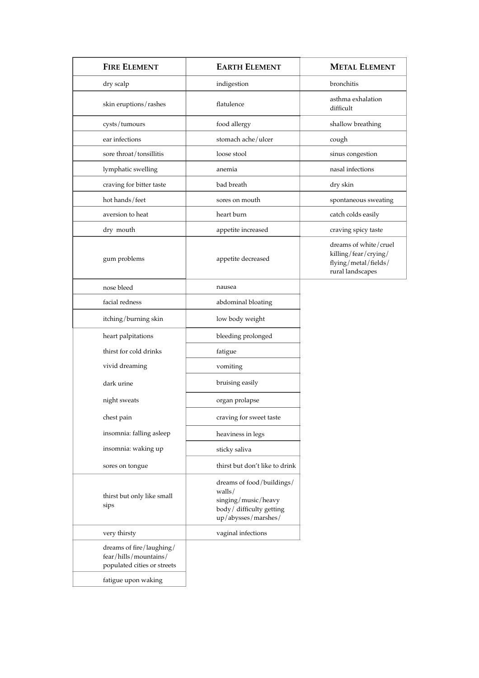| <b>FIRE ELEMENT</b>                                                              | <b>EARTH ELEMENT</b>                                                                                           | <b>METAL ELEMENT</b>                                                                      |
|----------------------------------------------------------------------------------|----------------------------------------------------------------------------------------------------------------|-------------------------------------------------------------------------------------------|
| dry scalp                                                                        | indigestion                                                                                                    | bronchitis                                                                                |
| skin eruptions/rashes                                                            | flatulence                                                                                                     | asthma exhalation<br>difficult                                                            |
| cysts/tumours                                                                    | food allergy                                                                                                   | shallow breathing                                                                         |
| ear infections                                                                   | stomach ache/ulcer                                                                                             | cough                                                                                     |
| sore throat/tonsillitis                                                          | loose stool                                                                                                    | sinus congestion                                                                          |
| lymphatic swelling                                                               | anemia                                                                                                         | nasal infections                                                                          |
| craving for bitter taste                                                         | bad breath                                                                                                     | dry skin                                                                                  |
| hot hands/feet                                                                   | sores on mouth                                                                                                 | spontaneous sweating                                                                      |
| aversion to heat                                                                 | heart burn                                                                                                     | catch colds easily                                                                        |
| dry mouth                                                                        | appetite increased                                                                                             | craving spicy taste                                                                       |
| gum problems                                                                     | appetite decreased                                                                                             | dreams of white/cruel<br>killing/fear/crying/<br>flying/metal/fields/<br>rural landscapes |
| nose bleed                                                                       | nausea                                                                                                         |                                                                                           |
| facial redness                                                                   | abdominal bloating                                                                                             |                                                                                           |
| itching/burning skin                                                             | low body weight                                                                                                |                                                                                           |
| heart palpitations                                                               | bleeding prolonged                                                                                             |                                                                                           |
| thirst for cold drinks                                                           | fatigue                                                                                                        |                                                                                           |
| vivid dreaming                                                                   | vomiting                                                                                                       |                                                                                           |
| dark urine                                                                       | bruising easily                                                                                                |                                                                                           |
| night sweats                                                                     | organ prolapse                                                                                                 |                                                                                           |
| chest pain                                                                       | craving for sweet taste                                                                                        |                                                                                           |
| insomnia: falling asleep                                                         | heaviness in legs                                                                                              |                                                                                           |
| insomnia: waking up                                                              | sticky saliva                                                                                                  |                                                                                           |
| sores on tongue                                                                  | thirst but don't like to drink                                                                                 |                                                                                           |
| thirst but only like small<br>sips                                               | dreams of food/buildings/<br>walls/<br>singing/music/heavy<br>body / difficulty getting<br>up/abysses/marshes/ |                                                                                           |
| very thirsty                                                                     | vaginal infections                                                                                             |                                                                                           |
| dreams of fire/laughing/<br>fear/hills/mountains/<br>populated cities or streets |                                                                                                                |                                                                                           |
| fatigue upon waking                                                              |                                                                                                                |                                                                                           |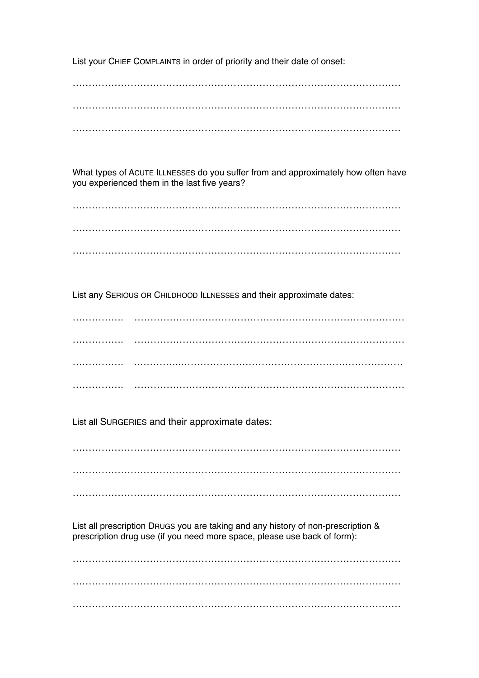List your CHIEF COMPLAINTS in order of priority and their date of onset:

…………………………………………………………………………………………  $\mathcal{L}^{\text{max}}_{\text{max}}$ …………………………………………………………………………………………

What types of ACUTE ILLNESSES do you suffer from and approximately how often have you experienced them in the last five years?

…………………………………………………………………………………………  $\mathcal{L}^{\text{max}}_{\text{max}}$ …………………………………………………………………………………………

List any SERIOUS OR CHILDHOOD ILLNESSES and their approximate dates:

……………. ………………………………………………………………………… ……………. ………………………………………………………………………… ……………. .…………..…………………………………………………………… ……………. …………………………………………………………………………

List all SURGERIES and their approximate dates:

………………………………………………………………………………………… …………………………………………………………………………………………

…………………………………………………………………………………………

List all prescription DRUGS you are taking and any history of non-prescription & prescription drug use (if you need more space, please use back of form):

………………………………………………………………………………………… ………………………………………………………………………………………… …………………………………………………………………………………………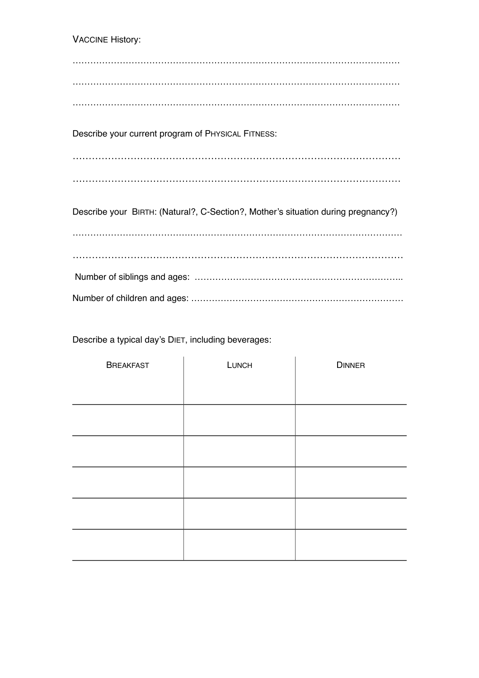VACCINE History: ………………………………………………………………………………………………… ………………………………………………………………………………………………… ………………………………………………………………………………………………… Describe your current program of PHYSICAL FITNESS: ………………………………………………………………………………………… ………………………………………………………………………………………… Describe your BIRTH: (Natural?, C-Section?, Mother's situation during pregnancy?) ………………………………….……………………………………………………………… ………………………….……………………………………………………………… Number of siblings and ages: …………………………………………………………….. Number of children and ages: ………………………………………………………………

Describe a typical day's DIET, including beverages:

| <b>BREAKFAST</b> | LUNCH | <b>DINNER</b> |
|------------------|-------|---------------|
|                  |       |               |
|                  |       |               |
|                  |       |               |
|                  |       |               |
|                  |       |               |
|                  |       |               |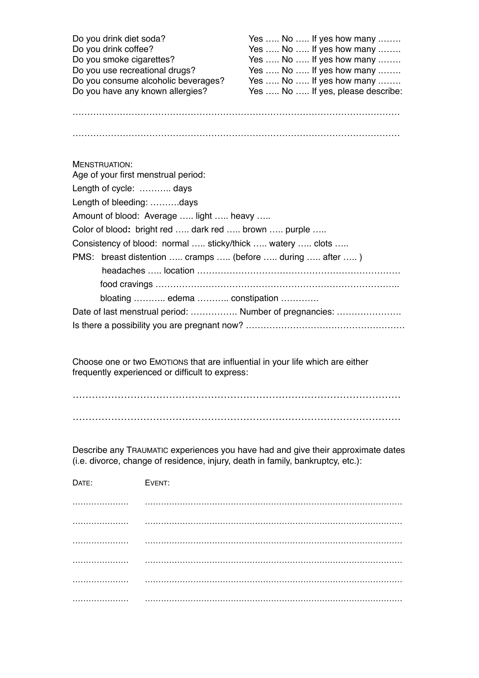| Do you drink diet soda?             | Yes  No  If yes how many          |
|-------------------------------------|-----------------------------------|
| Do you drink coffee?                | Yes  No  If yes how many          |
| Do you smoke cigarettes?            | Yes  No  If yes how many          |
| Do you use recreational drugs?      | Yes  No  If yes how many          |
| Do you consume alcoholic beverages? | Yes  No  If yes how many          |
| Do you have any known allergies?    | Yes  No  If yes, please describe: |

…………………………………………………………………………………………………

…………………………………………………………………………………………………

Choose one or two EMOTIONS that are influential in your life which are either frequently experienced or difficult to express:

………………………………………………………………………………………… …………………………………………………………………………………………

Describe any TRAUMATIC experiences you have had and give their approximate dates (i.e. divorce, change of residence, injury, death in family, bankruptcy, etc.):

| DATE: | EVENT: |
|-------|--------|
|       |        |
|       |        |
|       |        |
|       |        |
|       |        |
|       |        |
|       |        |
|       |        |